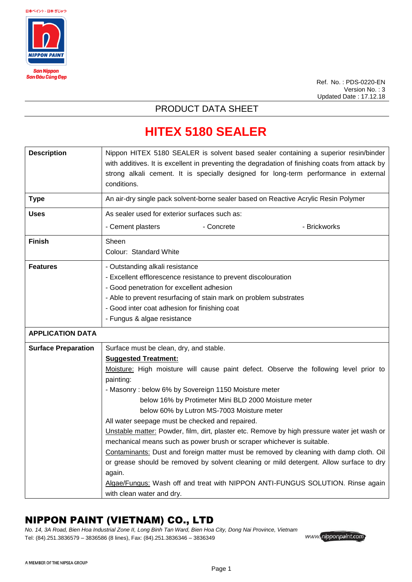

Ref. No. : PDS-0220-EN Version No. : 3 Updated Date : 17.12.18

#### PRODUCT DATA SHEET

## **HITEX 5180 SEALER**

| <b>Description</b>         | Nippon HITEX 5180 SEALER is solvent based sealer containing a superior resin/binder<br>with additives. It is excellent in preventing the degradation of finishing coats from attack by<br>strong alkali cement. It is specially designed for long-term performance in external<br>conditions.                                                                                                                                                                                                                                                                                                                                                                                                                                                                                                                                                                                        |  |  |
|----------------------------|--------------------------------------------------------------------------------------------------------------------------------------------------------------------------------------------------------------------------------------------------------------------------------------------------------------------------------------------------------------------------------------------------------------------------------------------------------------------------------------------------------------------------------------------------------------------------------------------------------------------------------------------------------------------------------------------------------------------------------------------------------------------------------------------------------------------------------------------------------------------------------------|--|--|
| <b>Type</b>                | An air-dry single pack solvent-borne sealer based on Reactive Acrylic Resin Polymer                                                                                                                                                                                                                                                                                                                                                                                                                                                                                                                                                                                                                                                                                                                                                                                                  |  |  |
| <b>Uses</b>                | As sealer used for exterior surfaces such as:                                                                                                                                                                                                                                                                                                                                                                                                                                                                                                                                                                                                                                                                                                                                                                                                                                        |  |  |
|                            | - Cement plasters<br>- Concrete<br>- Brickworks                                                                                                                                                                                                                                                                                                                                                                                                                                                                                                                                                                                                                                                                                                                                                                                                                                      |  |  |
| <b>Finish</b>              | Sheen<br>Colour: Standard White                                                                                                                                                                                                                                                                                                                                                                                                                                                                                                                                                                                                                                                                                                                                                                                                                                                      |  |  |
| <b>Features</b>            | - Outstanding alkali resistance<br>- Excellent efflorescence resistance to prevent discolouration<br>- Good penetration for excellent adhesion<br>- Able to prevent resurfacing of stain mark on problem substrates<br>- Good inter coat adhesion for finishing coat                                                                                                                                                                                                                                                                                                                                                                                                                                                                                                                                                                                                                 |  |  |
|                            | - Fungus & algae resistance                                                                                                                                                                                                                                                                                                                                                                                                                                                                                                                                                                                                                                                                                                                                                                                                                                                          |  |  |
| <b>APPLICATION DATA</b>    |                                                                                                                                                                                                                                                                                                                                                                                                                                                                                                                                                                                                                                                                                                                                                                                                                                                                                      |  |  |
| <b>Surface Preparation</b> | Surface must be clean, dry, and stable.<br><b>Suggested Treatment:</b><br>Moisture: High moisture will cause paint defect. Observe the following level prior to<br>painting:<br>- Masonry: below 6% by Sovereign 1150 Moisture meter<br>below 16% by Protimeter Mini BLD 2000 Moisture meter<br>below 60% by Lutron MS-7003 Moisture meter<br>All water seepage must be checked and repaired.<br>Unstable matter: Powder, film, dirt, plaster etc. Remove by high pressure water jet wash or<br>mechanical means such as power brush or scraper whichever is suitable.<br>Contaminants: Dust and foreign matter must be removed by cleaning with damp cloth. Oil<br>or grease should be removed by solvent cleaning or mild detergent. Allow surface to dry<br>again.<br>Algae/Fungus: Wash off and treat with NIPPON ANTI-FUNGUS SOLUTION. Rinse again<br>with clean water and dry. |  |  |

#### NIPPON PAINT (VIETNAM) CO., LTD

*No. 14, 3A Road, Bien Hoa Industrial Zone II, Long Binh Tan Ward, Bien Hoa City, Dong Nai Province, Vietnam* Tel: (84).251.3836579 – 3836586 (8 lines), Fax: (84).251.3836346 – 3836349